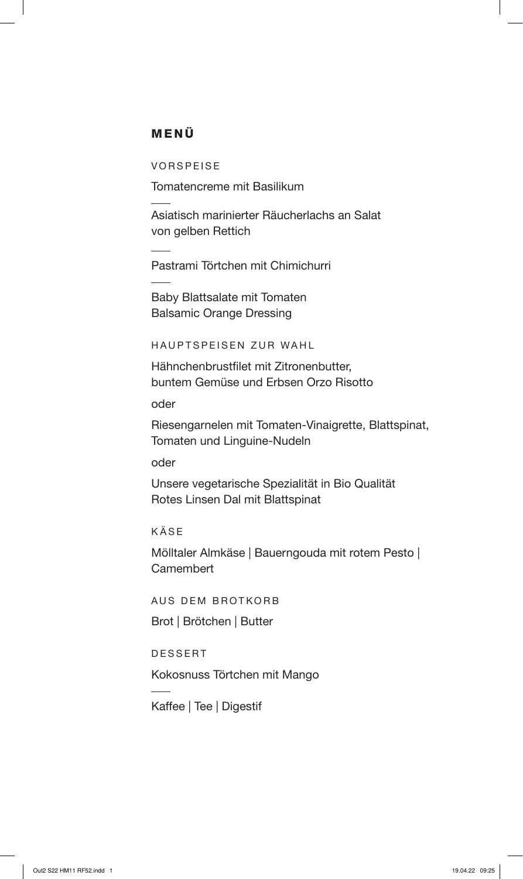## MENÜ

VORSPEISE

Tomatencreme mit Basilikum

Asiatisch marinierter Räucherlachs an Salat von gelben Rettich

Pastrami Törtchen mit Chimichurri

Baby Blattsalate mit Tomaten Balsamic Orange Dressing

HAUPTSPEISEN ZUR WAHL

Hähnchenbrustfilet mit Zitronenbutter, buntem Gemüse und Erbsen Orzo Risotto

oder

Riesengarnelen mit Tomaten-Vinaigrette, Blattspinat, Tomaten und Linguine-Nudeln

oder

Unsere vegetarische Spezialität in Bio Qualität Rotes Linsen Dal mit Blattspinat

KÄSE

Mölltaler Almkäse | Bauerngouda mit rotem Pesto | **Camembert** 

AUS DEM BROTKORB

Brot | Brötchen | Butter

DESSERT

Kokosnuss Törtchen mit Mango

Kaffee | Tee | Digestif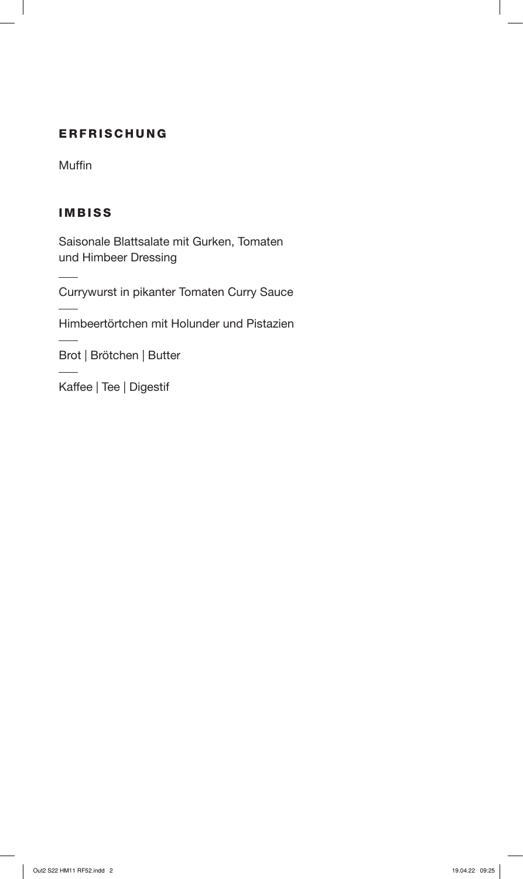## ERFRISCHUNG

Muffin

# IMBISS

Saisonale Blattsalate mit Gurken, Tomaten und Himbeer Dressing

Currywurst in pikanter Tomaten Curry Sauce

Himbeertörtchen mit Holunder und Pistazien

Brot | Brötchen | Butter

Kaffee | Tee | Digestif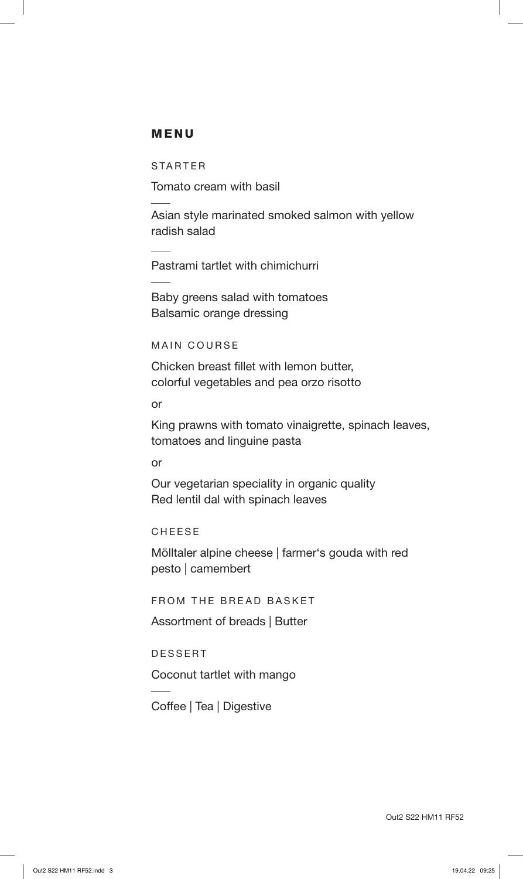#### MENU

STARTER

Tomato cream with basil

Asian style marinated smoked salmon with yellow radish salad

Pastrami tartlet with chimichurri

Baby greens salad with tomatoes Balsamic orange dressing

MAIN COURSE

Chicken breast fillet with lemon butter, colorful vegetables and pea orzo risotto

or

King prawns with tomato vinaigrette, spinach leaves, tomatoes and linguine pasta

or

Our vegetarian speciality in organic quality Red lentil dal with spinach leaves

CHEESE

Mölltaler alpine cheese | farmer's gouda with red pesto | camembert

FROM THE BREAD BASKET

Assortment of breads | Butter

DESSERT

Coconut tartlet with mango

Coffee | Tea | Digestive

Out2 S22 HM11 RF52